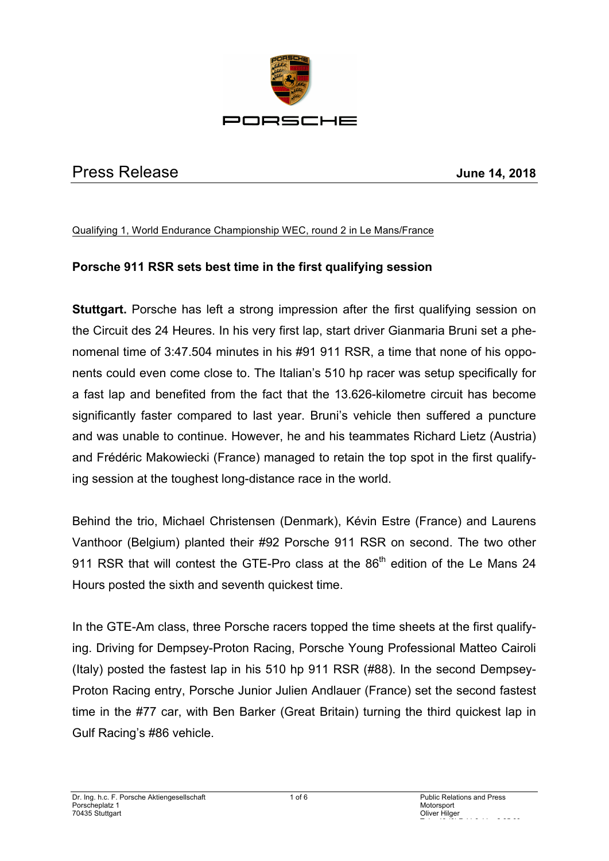

# Press Release **June 14, 2018**

#### Qualifying 1, World Endurance Championship WEC, round 2 in Le Mans/France

### **Porsche 911 RSR sets best time in the first qualifying session**

**Stuttgart.** Porsche has left a strong impression after the first qualifying session on the Circuit des 24 Heures. In his very first lap, start driver Gianmaria Bruni set a phenomenal time of 3:47.504 minutes in his #91 911 RSR, a time that none of his opponents could even come close to. The Italian's 510 hp racer was setup specifically for a fast lap and benefited from the fact that the 13.626-kilometre circuit has become significantly faster compared to last year. Bruni's vehicle then suffered a puncture and was unable to continue. However, he and his teammates Richard Lietz (Austria) and Frédéric Makowiecki (France) managed to retain the top spot in the first qualifying session at the toughest long-distance race in the world.

Behind the trio, Michael Christensen (Denmark), Kévin Estre (France) and Laurens Vanthoor (Belgium) planted their #92 Porsche 911 RSR on second. The two other 911 RSR that will contest the GTE-Pro class at the 86<sup>th</sup> edition of the Le Mans 24 Hours posted the sixth and seventh quickest time.

In the GTE-Am class, three Porsche racers topped the time sheets at the first qualifying. Driving for Dempsey-Proton Racing, Porsche Young Professional Matteo Cairoli (Italy) posted the fastest lap in his 510 hp 911 RSR (#88). In the second Dempsey-Proton Racing entry, Porsche Junior Julien Andlauer (France) set the second fastest time in the #77 car, with Ben Barker (Great Britain) turning the third quickest lap in Gulf Racing's #86 vehicle.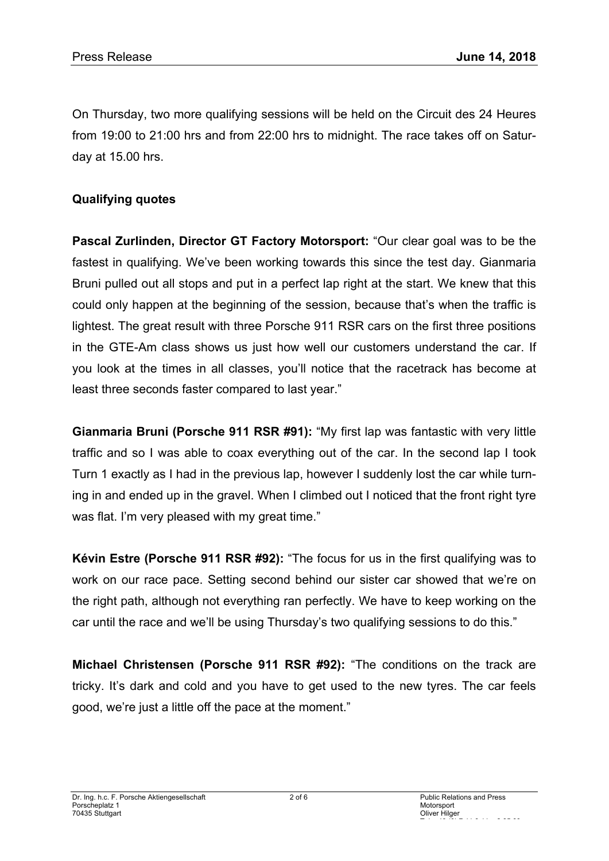On Thursday, two more qualifying sessions will be held on the Circuit des 24 Heures from 19:00 to 21:00 hrs and from 22:00 hrs to midnight. The race takes off on Saturday at 15.00 hrs.

### **Qualifying quotes**

**Pascal Zurlinden, Director GT Factory Motorsport:** "Our clear goal was to be the fastest in qualifying. We've been working towards this since the test day. Gianmaria Bruni pulled out all stops and put in a perfect lap right at the start. We knew that this could only happen at the beginning of the session, because that's when the traffic is lightest. The great result with three Porsche 911 RSR cars on the first three positions in the GTE-Am class shows us just how well our customers understand the car. If you look at the times in all classes, you'll notice that the racetrack has become at least three seconds faster compared to last year."

**Gianmaria Bruni (Porsche 911 RSR #91):** "My first lap was fantastic with very little traffic and so I was able to coax everything out of the car. In the second lap I took Turn 1 exactly as I had in the previous lap, however I suddenly lost the car while turning in and ended up in the gravel. When I climbed out I noticed that the front right tyre was flat. I'm very pleased with my great time."

**Kévin Estre (Porsche 911 RSR #92):** "The focus for us in the first qualifying was to work on our race pace. Setting second behind our sister car showed that we're on the right path, although not everything ran perfectly. We have to keep working on the car until the race and we'll be using Thursday's two qualifying sessions to do this."

**Michael Christensen (Porsche 911 RSR #92):** "The conditions on the track are tricky. It's dark and cold and you have to get used to the new tyres. The car feels good, we're just a little off the pace at the moment."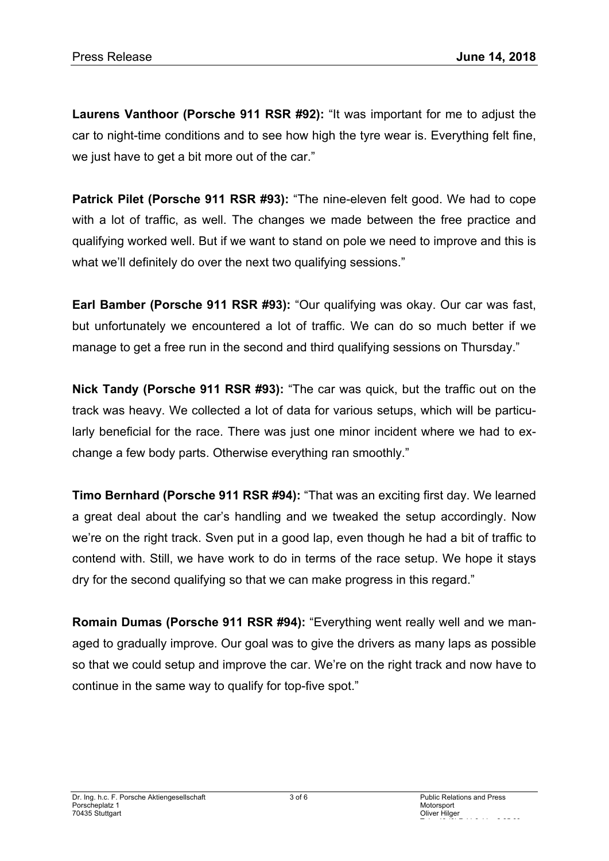**Laurens Vanthoor (Porsche 911 RSR #92):** "It was important for me to adjust the car to night-time conditions and to see how high the tyre wear is. Everything felt fine, we just have to get a bit more out of the car."

**Patrick Pilet (Porsche 911 RSR #93):** "The nine-eleven felt good. We had to cope with a lot of traffic, as well. The changes we made between the free practice and qualifying worked well. But if we want to stand on pole we need to improve and this is what we'll definitely do over the next two qualifying sessions."

**Earl Bamber (Porsche 911 RSR #93):** "Our qualifying was okay. Our car was fast, but unfortunately we encountered a lot of traffic. We can do so much better if we manage to get a free run in the second and third qualifying sessions on Thursday."

**Nick Tandy (Porsche 911 RSR #93):** "The car was quick, but the traffic out on the track was heavy. We collected a lot of data for various setups, which will be particularly beneficial for the race. There was just one minor incident where we had to exchange a few body parts. Otherwise everything ran smoothly."

**Timo Bernhard (Porsche 911 RSR #94):** "That was an exciting first day. We learned a great deal about the car's handling and we tweaked the setup accordingly. Now we're on the right track. Sven put in a good lap, even though he had a bit of traffic to contend with. Still, we have work to do in terms of the race setup. We hope it stays dry for the second qualifying so that we can make progress in this regard."

**Romain Dumas (Porsche 911 RSR #94):** "Everything went really well and we managed to gradually improve. Our goal was to give the drivers as many laps as possible so that we could setup and improve the car. We're on the right track and now have to continue in the same way to qualify for top-five spot."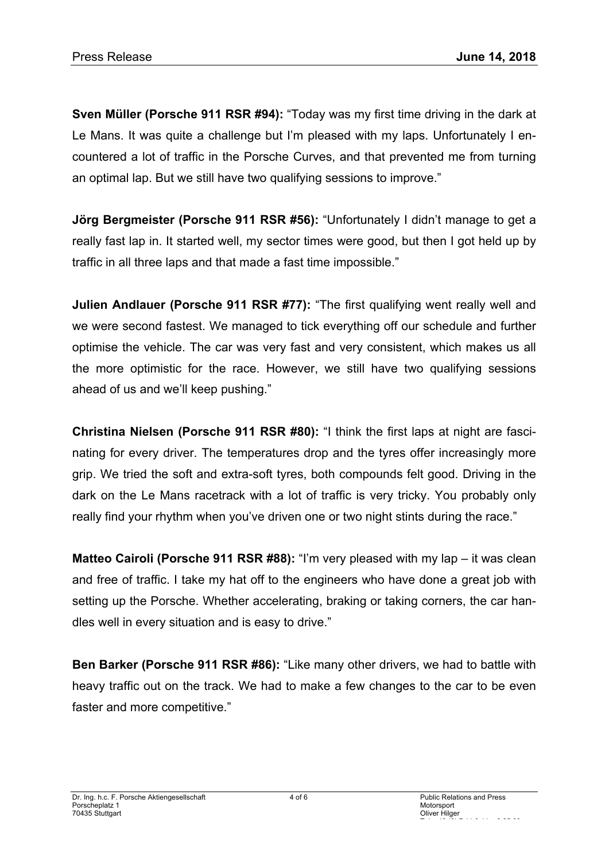**Sven Müller (Porsche 911 RSR #94):** "Today was my first time driving in the dark at Le Mans. It was quite a challenge but I'm pleased with my laps. Unfortunately I encountered a lot of traffic in the Porsche Curves, and that prevented me from turning an optimal lap. But we still have two qualifying sessions to improve."

**Jörg Bergmeister (Porsche 911 RSR #56):** "Unfortunately I didn't manage to get a really fast lap in. It started well, my sector times were good, but then I got held up by traffic in all three laps and that made a fast time impossible."

**Julien Andlauer (Porsche 911 RSR #77):** "The first qualifying went really well and we were second fastest. We managed to tick everything off our schedule and further optimise the vehicle. The car was very fast and very consistent, which makes us all the more optimistic for the race. However, we still have two qualifying sessions ahead of us and we'll keep pushing."

**Christina Nielsen (Porsche 911 RSR #80):** "I think the first laps at night are fascinating for every driver. The temperatures drop and the tyres offer increasingly more grip. We tried the soft and extra-soft tyres, both compounds felt good. Driving in the dark on the Le Mans racetrack with a lot of traffic is very tricky. You probably only really find your rhythm when you've driven one or two night stints during the race."

**Matteo Cairoli (Porsche 911 RSR #88):** "I'm very pleased with my lap – it was clean and free of traffic. I take my hat off to the engineers who have done a great job with setting up the Porsche. Whether accelerating, braking or taking corners, the car handles well in every situation and is easy to drive."

**Ben Barker (Porsche 911 RSR #86):** "Like many other drivers, we had to battle with heavy traffic out on the track. We had to make a few changes to the car to be even faster and more competitive."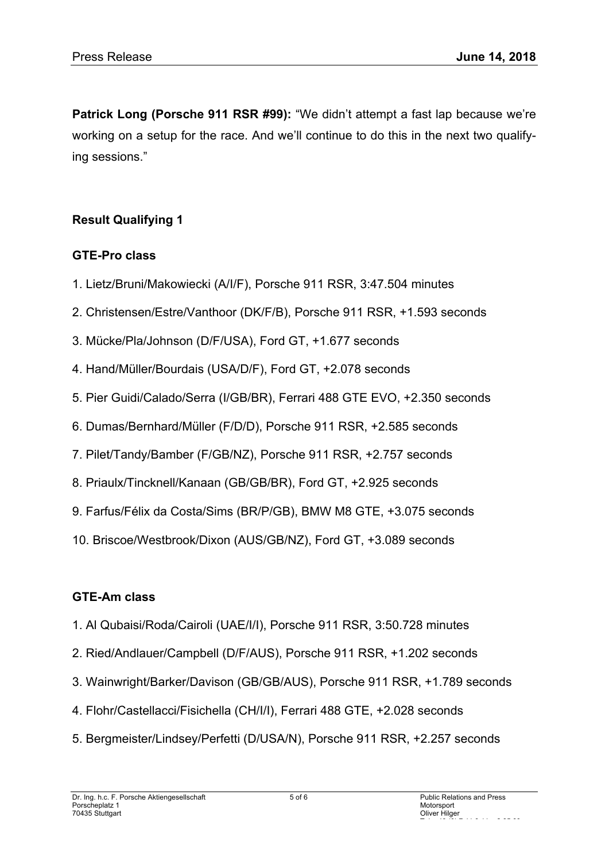**Patrick Long (Porsche 911 RSR #99):** "We didn't attempt a fast lap because we're working on a setup for the race. And we'll continue to do this in the next two qualifying sessions."

## **Result Qualifying 1**

### **GTE-Pro class**

- 1. Lietz/Bruni/Makowiecki (A/I/F), Porsche 911 RSR, 3:47.504 minutes
- 2. Christensen/Estre/Vanthoor (DK/F/B), Porsche 911 RSR, +1.593 seconds
- 3. Mücke/Pla/Johnson (D/F/USA), Ford GT, +1.677 seconds
- 4. Hand/Müller/Bourdais (USA/D/F), Ford GT, +2.078 seconds
- 5. Pier Guidi/Calado/Serra (I/GB/BR), Ferrari 488 GTE EVO, +2.350 seconds
- 6. Dumas/Bernhard/Müller (F/D/D), Porsche 911 RSR, +2.585 seconds
- 7. Pilet/Tandy/Bamber (F/GB/NZ), Porsche 911 RSR, +2.757 seconds
- 8. Priaulx/Tincknell/Kanaan (GB/GB/BR), Ford GT, +2.925 seconds
- 9. Farfus/Félix da Costa/Sims (BR/P/GB), BMW M8 GTE, +3.075 seconds
- 10. Briscoe/Westbrook/Dixon (AUS/GB/NZ), Ford GT, +3.089 seconds

### **GTE-Am class**

- 1. Al Qubaisi/Roda/Cairoli (UAE/I/I), Porsche 911 RSR, 3:50.728 minutes
- 2. Ried/Andlauer/Campbell (D/F/AUS), Porsche 911 RSR, +1.202 seconds
- 3. Wainwright/Barker/Davison (GB/GB/AUS), Porsche 911 RSR, +1.789 seconds
- 4. Flohr/Castellacci/Fisichella (CH/I/I), Ferrari 488 GTE, +2.028 seconds
- 5. Bergmeister/Lindsey/Perfetti (D/USA/N), Porsche 911 RSR, +2.257 seconds